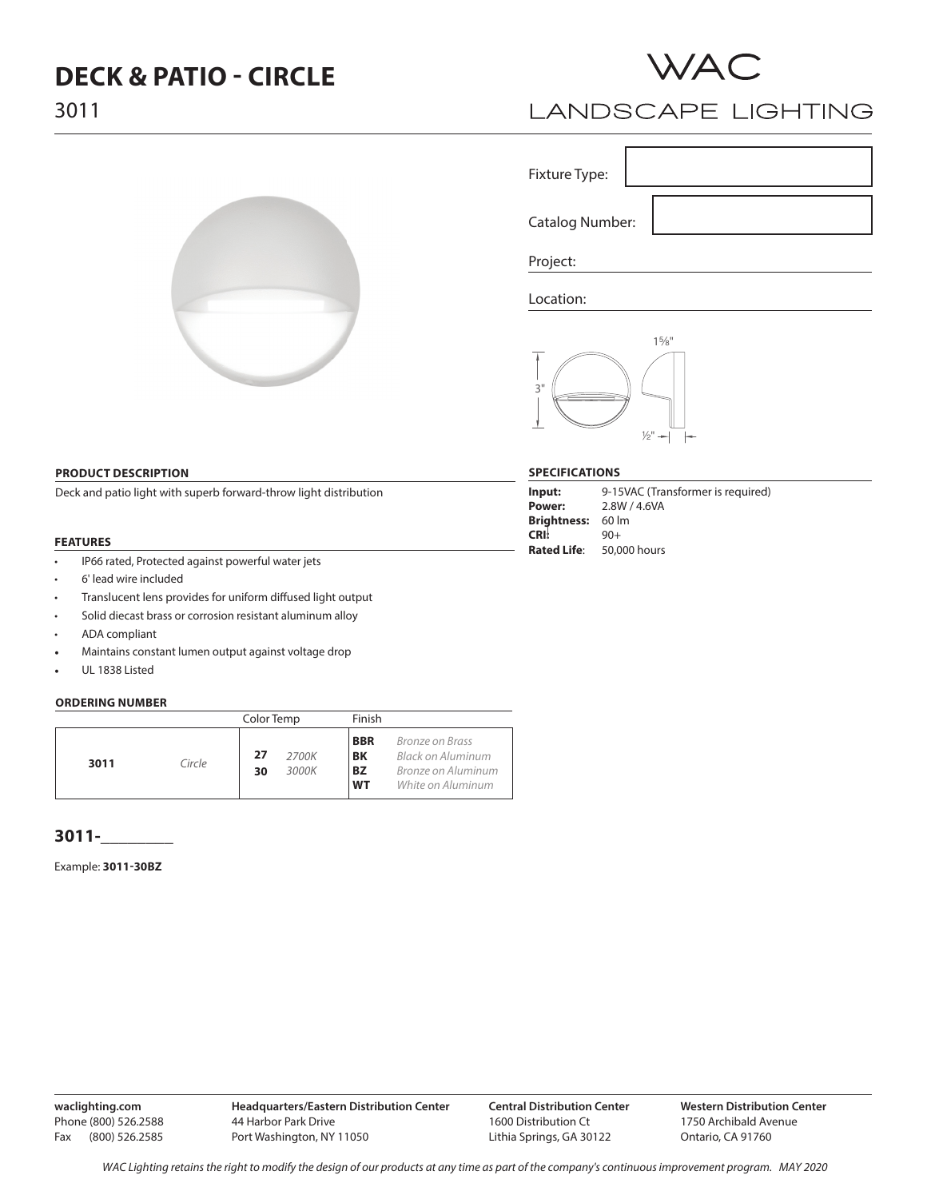# **DECK & PATIO - CIRCLE**



# **LANDSCAPE LIGHTING**

Fixture Type:

Catalog Number:

Project:

Location:



#### **SPECIFICATIONS**

| Input:             | 9-15VAC (Transformer is required) |
|--------------------|-----------------------------------|
| Power:             | 2.8W / 4.6VA                      |
| Brightness: 60 lm  |                                   |
| <b>CRI:</b>        | $90+$                             |
| <b>Rated Life:</b> | 50,000 hours                      |

## **PRODUCT DESCRIPTION**

Deck and patio light with superb forward-throw light distribution

#### **FEATURES**

- IP66 rated, Protected against powerful water jets
- 6' lead wire included
- Translucent lens provides for uniform diffused light output
- Solid diecast brass or corrosion resistant aluminum alloy
- ADA compliant
- Maintains constant lumen output against voltage drop
- UL 1838 Listed

#### **ORDERING NUMBER**

|      |        | Color Temp                 | Finish                                                                                                                        |  |
|------|--------|----------------------------|-------------------------------------------------------------------------------------------------------------------------------|--|
| 3011 | Circle | 27<br>2700K<br>3000K<br>30 | <b>BBR</b><br>Bronze on Brass<br>BK<br>Black on Aluminum<br><b>BZ</b><br>Bronze on Aluminum<br><b>WT</b><br>White on Aluminum |  |

## **3011-\_\_\_\_\_\_\_\_**

Example: **3011-30BZ**

**waclighting.com** Phone (800) 526.2588 Fax (800) 526.2585

WAC Lighting retains the right to modify the design of our products at any time as part of the company's continuous improvement program. MAY 2020